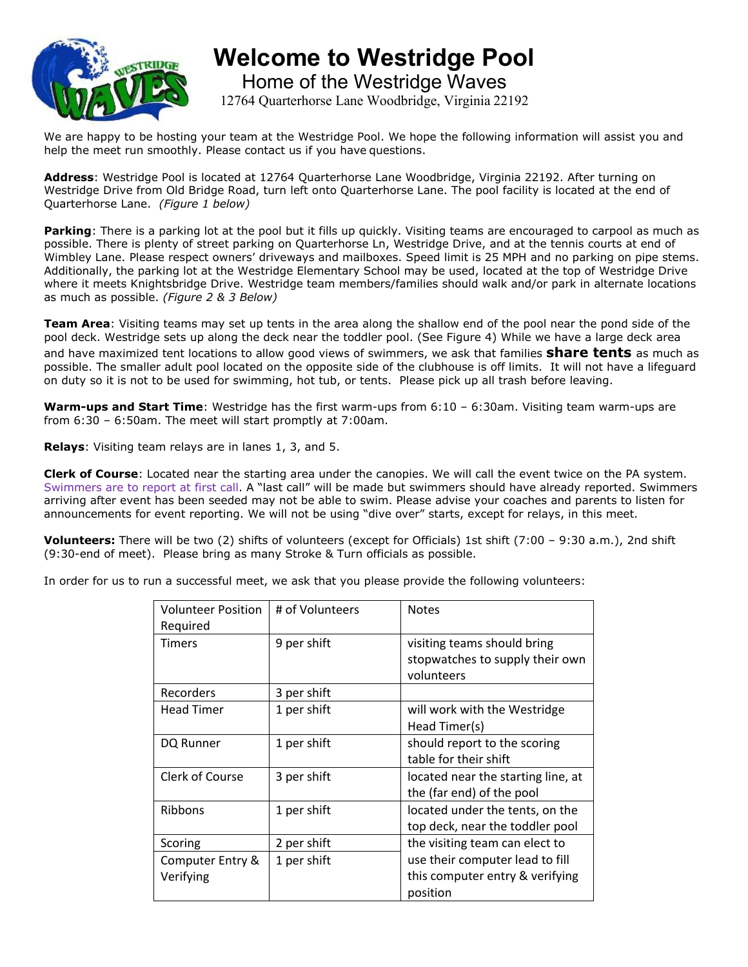

**Welcome to Westridge Pool** Home of the Westridge Waves 12764 Quarterhorse Lane Woodbridge, Virginia 22192

We are happy to be hosting your team at the Westridge Pool. We hope the following information will assist you and help the meet run smoothly. Please contact us if you have questions.

**Address**: Westridge Pool is located at 12764 Quarterhorse Lane Woodbridge, Virginia 22192. After turning on Westridge Drive from Old Bridge Road, turn left onto Quarterhorse Lane. The pool facility is located at the end of Quarterhorse Lane. *(Figure 1 below)*

**Parking**: There is a parking lot at the pool but it fills up quickly. Visiting teams are encouraged to carpool as much as possible. There is plenty of street parking on Quarterhorse Ln, Westridge Drive, and at the tennis courts at end of Wimbley Lane. Please respect owners' driveways and mailboxes. Speed limit is 25 MPH and no parking on pipe stems. Additionally, the parking lot at the Westridge Elementary School may be used, located at the top of Westridge Drive where it meets Knightsbridge Drive. Westridge team members/families should walk and/or park in alternate locations as much as possible. *(Figure 2 & 3 Below)*

**Team Area**: Visiting teams may set up tents in the area along the shallow end of the pool near the pond side of the pool deck. Westridge sets up along the deck near the toddler pool. (See Figure 4) While we have a large deck area and have maximized tent locations to allow good views of swimmers, we ask that families **share tents** as much as possible. The smaller adult pool located on the opposite side of the clubhouse is off limits. It will not have a lifeguard on duty so it is not to be used for swimming, hot tub, or tents. Please pick up all trash before leaving.

**Warm-ups and Start Time**: Westridge has the first warm-ups from 6:10 – 6:30am. Visiting team warm-ups are from 6:30 – 6:50am. The meet will start promptly at 7:00am.

**Relays**: Visiting team relays are in lanes 1, 3, and 5.

**Clerk of Course**: Located near the starting area under the canopies. We will call the event twice on the PA system. Swimmers are to report at first call. A "last call" will be made but swimmers should have already reported. Swimmers arriving after event has been seeded may not be able to swim. Please advise your coaches and parents to listen for announcements for event reporting. We will not be using "dive over" starts, except for relays, in this meet.

**Volunteers:** There will be two (2) shifts of volunteers (except for Officials) 1st shift (7:00 – 9:30 a.m.), 2nd shift (9:30-end of meet). Please bring as many Stroke & Turn officials as possible.

In order for us to run a successful meet, we ask that you please provide the following volunteers:

| <b>Volunteer Position</b> | # of Volunteers | <b>Notes</b>                       |  |
|---------------------------|-----------------|------------------------------------|--|
| Required                  |                 |                                    |  |
| Timers                    | 9 per shift     | visiting teams should bring        |  |
|                           |                 | stopwatches to supply their own    |  |
|                           |                 | volunteers                         |  |
| Recorders                 | 3 per shift     |                                    |  |
| Head Timer                | 1 per shift     | will work with the Westridge       |  |
|                           |                 | Head Timer(s)                      |  |
| DQ Runner                 | 1 per shift     | should report to the scoring       |  |
|                           |                 | table for their shift              |  |
| <b>Clerk of Course</b>    | 3 per shift     | located near the starting line, at |  |
|                           |                 | the (far end) of the pool          |  |
| Ribbons                   | 1 per shift     | located under the tents, on the    |  |
|                           |                 | top deck, near the toddler pool    |  |
| Scoring                   | 2 per shift     | the visiting team can elect to     |  |
| Computer Entry &          | 1 per shift     | use their computer lead to fill    |  |
| Verifying                 |                 | this computer entry & verifying    |  |
|                           |                 | position                           |  |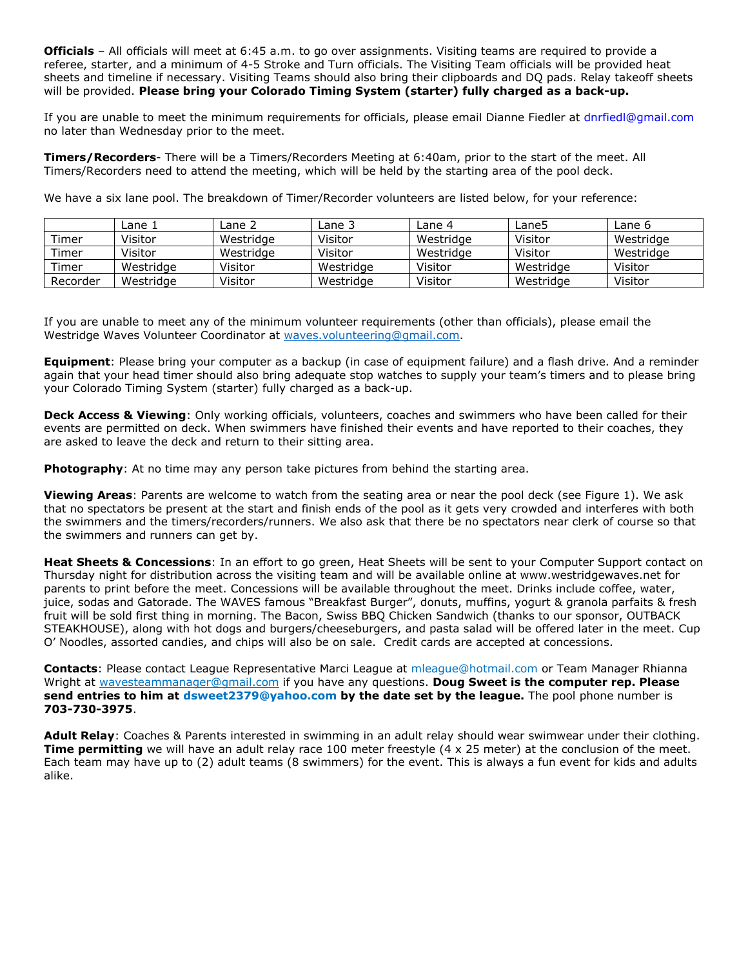**Officials** – All officials will meet at 6:45 a.m. to go over assignments. Visiting teams are required to provide a referee, starter, and a minimum of 4-5 Stroke and Turn officials. The Visiting Team officials will be provided heat sheets and timeline if necessary. Visiting Teams should also bring their clipboards and DQ pads. Relay takeoff sheets will be provided. **Please bring your Colorado Timing System (starter) fully charged as a back-up.**

If you are unable to meet the minimum requirements for officials, please email Dianne Fiedler at dnrfiedl@gmail.com no later than Wednesday prior to the meet.

**Timers/Recorders**- There will be a Timers/Recorders Meeting at 6:40am, prior to the start of the meet. All Timers/Recorders need to attend the meeting, which will be held by the starting area of the pool deck.

We have a six lane pool. The breakdown of Timer/Recorder volunteers are listed below, for your reference:

|          | Lane 1    | Lane 2    | Lane 3    | Lane 4    | Lane5     | Lane 6    |
|----------|-----------|-----------|-----------|-----------|-----------|-----------|
| Timer    | Visitor   | Westridge | Visitor   | Westridge | Visitor   | Westridge |
| Timer    | Visitor   | Westridge | Visitor   | Westridge | Visitor   | Westridge |
| Timer    | Westridge | Visitor   | Westridge | Visitor   | Westridge | Visitor   |
| Recorder | Westridge | Visitor   | Westridge | Visitor   | Westridge | Visitor   |

If you are unable to meet any of the minimum volunteer requirements (other than officials), please email the Westridge Waves Volunteer Coordinator at [waves.volunteering@gmail.com.](mailto:waves.volunteering@gmail.com)

**Equipment**: Please bring your computer as a backup (in case of equipment failure) and a flash drive. And a reminder again that your head timer should also bring adequate stop watches to supply your team's timers and to please bring your Colorado Timing System (starter) fully charged as a back-up.

**Deck Access & Viewing**: Only working officials, volunteers, coaches and swimmers who have been called for their events are permitted on deck. When swimmers have finished their events and have reported to their coaches, they are asked to leave the deck and return to their sitting area.

**Photography**: At no time may any person take pictures from behind the starting area.

**Viewing Areas**: Parents are welcome to watch from the seating area or near the pool deck (see Figure 1). We ask that no spectators be present at the start and finish ends of the pool as it gets very crowded and interferes with both the swimmers and the timers/recorders/runners. We also ask that there be no spectators near clerk of course so that the swimmers and runners can get by.

**Heat Sheets & Concessions**: In an effort to go green, Heat Sheets will be sent to your Computer Support contact on Thursday night for distribution across the visiting team and will be available online at www.westridgewaves.net for parents to print before the meet. Concessions will be available throughout the meet. Drinks include coffee, water, juice, sodas and Gatorade. The WAVES famous "Breakfast Burger", donuts, muffins, yogurt & granola parfaits & fresh fruit will be sold first thing in morning. The Bacon, Swiss BBQ Chicken Sandwich (thanks to our sponsor, OUTBACK STEAKHOUSE), along with hot dogs and burgers/cheeseburgers, and pasta salad will be offered later in the meet. Cup O' Noodles, assorted candies, and chips will also be on sale. Credit cards are accepted at concessions.

**Contacts**: Please contact League Representative Marci League at mleague@hotmail.com or Team Manager Rhianna Wright at [wavesteammanager@gmail.com](mailto:wavesteammanager@gmail.com) if you have any questions. **Doug Sweet is the computer rep. Please send entries to him at dsweet2379@yahoo.com by the date set by the league.** The pool phone number is **703-730-3975**.

**Adult Relay**: Coaches & Parents interested in swimming in an adult relay should wear swimwear under their clothing. **Time permitting** we will have an adult relay race 100 meter freestyle (4 x 25 meter) at the conclusion of the meet. Each team may have up to (2) adult teams (8 swimmers) for the event. This is always a fun event for kids and adults alike.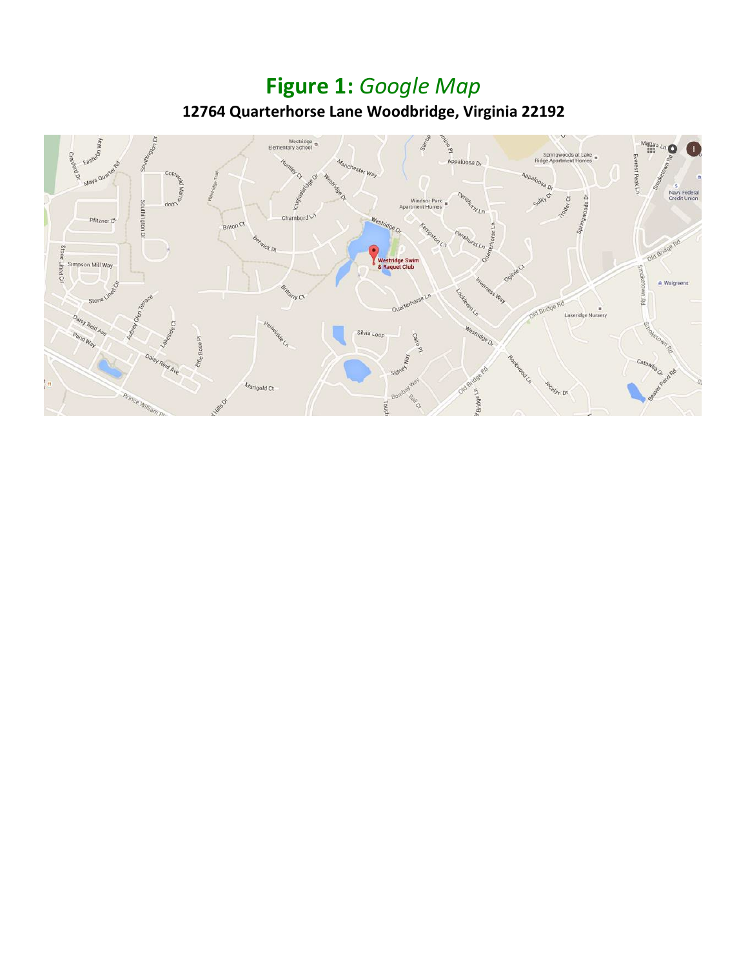## **Figure 1:** *Google Map* **12764 Quarterhorse Lane Woodbridge, Virginia 22192**

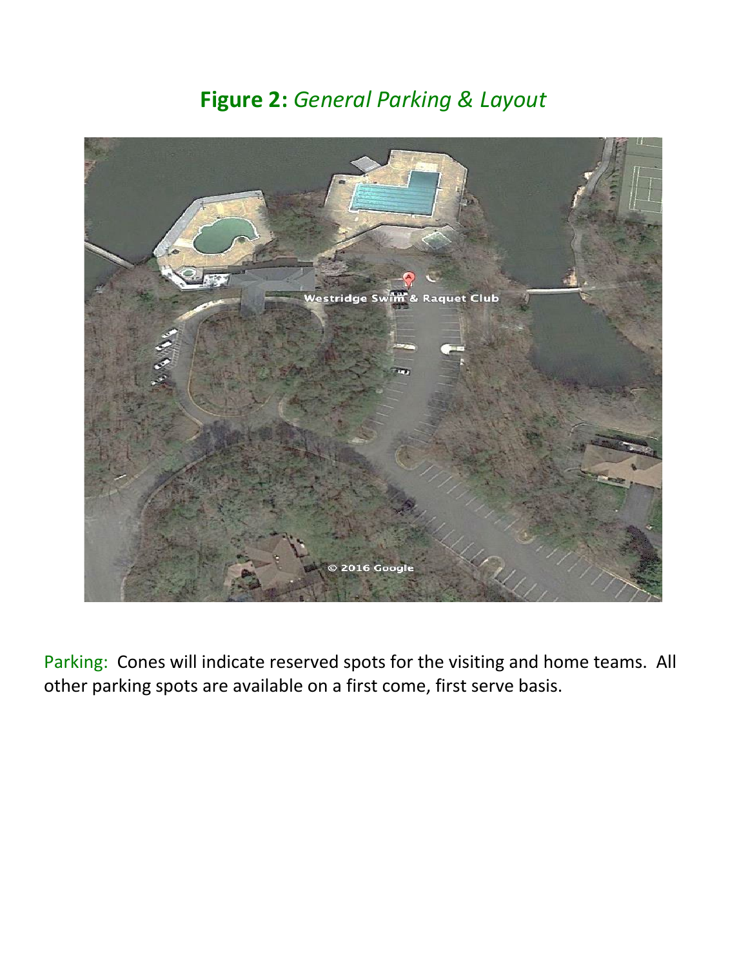## **Figure 2:** *General Parking & Layout*



Parking: Cones will indicate reserved spots for the visiting and home teams. All other parking spots are available on a first come, first serve basis.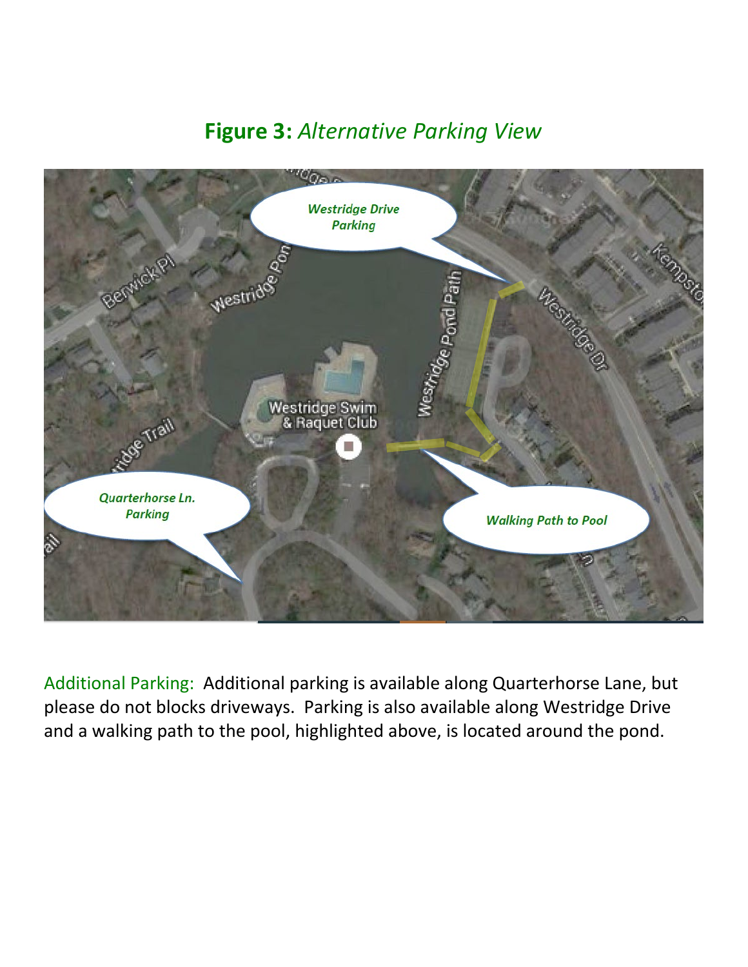## **Figure 3:** *Alternative Parking View*



Additional Parking: Additional parking is available along Quarterhorse Lane, but please do not blocks driveways. Parking is also available along Westridge Drive and a walking path to the pool, highlighted above, is located around the pond.